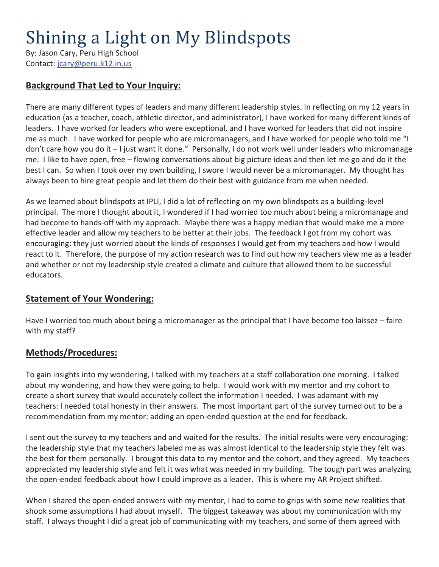# Shining a Light on My Blindspots

By: Jason Cary, Peru High School Contact: jcary@peru.k12.in.us

## **Background That Led to Your Inquiry:**

There are many different types of leaders and many different leadership styles. In reflecting on my 12 years in education (as a teacher, coach, athletic director, and administrator), I have worked for many different kinds of leaders. I have worked for leaders who were exceptional, and I have worked for leaders that did not inspire me as much. I have worked for people who are micromanagers, and I have worked for people who told me "I don't care how you do it – I just want it done." Personally, I do not work well under leaders who micromanage me. I like to have open, free – flowing conversations about big picture ideas and then let me go and do it the best I can. So when I took over my own building, I swore I would never be a micromanager. My thought has always been to hire great people and let them do their best with guidance from me when needed.

As we learned about blindspots at IPLI, I did a lot of reflecting on my own blindspots as a building-level principal. The more I thought about it, I wondered if I had worried too much about being a micromanage and had become to hands-off with my approach. Maybe there was a happy median that would make me a more effective leader and allow my teachers to be better at their jobs. The feedback I got from my cohort was encouraging: they just worried about the kinds of responses I would get from my teachers and how I would react to it. Therefore, the purpose of my action research was to find out how my teachers view me as a leader and whether or not my leadership style created a climate and culture that allowed them to be successful educators.

#### **Statement of Your Wondering:**

Have I worried too much about being a micromanager as the principal that I have become too laissez – faire with my staff?

#### **Methods/Procedures:**

To gain insights into my wondering, I talked with my teachers at a staff collaboration one morning. I talked about my wondering, and how they were going to help. I would work with my mentor and my cohort to create a short survey that would accurately collect the information I needed. I was adamant with my teachers: I needed total honesty in their answers. The most important part of the survey turned out to be a recommendation from my mentor: adding an open-ended question at the end for feedback.

I sent out the survey to my teachers and and waited for the results. The initial results were very encouraging: the leadership style that my teachers labeled me as was almost identical to the leadership style they felt was the best for them personally. I brought this data to my mentor and the cohort, and they agreed. My teachers appreciated my leadership style and felt it was what was needed in my building. The tough part was analyzing the open-ended feedback about how I could improve as a leader. This is where my AR Project shifted.

When I shared the open-ended answers with my mentor, I had to come to grips with some new realities that shook some assumptions I had about myself. The biggest takeaway was about my communication with my staff. I always thought I did a great job of communicating with my teachers, and some of them agreed with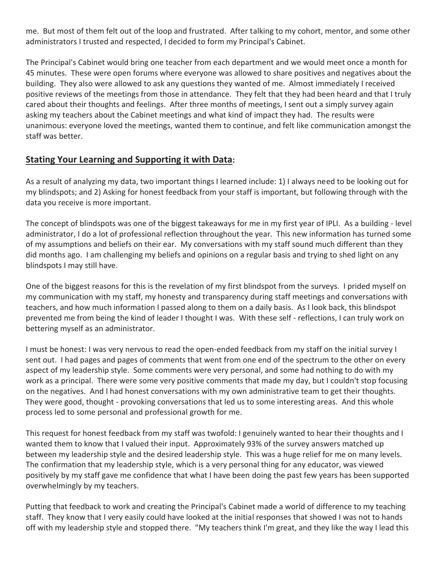me. But most of them felt out of the loop and frustrated. After talking to my cohort, mentor, and some other administrators I trusted and respected, I decided to form my Principal's Cabinet.

The Principal's Cabinet would bring one teacher from each department and we would meet once a month for 45 minutes. These were open forums where everyone was allowed to share positives and negatives about the building. They also were allowed to ask any questions they wanted of me. Almost immediately I received positive reviews of the meetings from those in attendance. They felt that they had been heard and that I truly cared about their thoughts and feelings. After three months of meetings, I sent out a simply survey again asking my teachers about the Cabinet meetings and what kind of impact they had. The results were unanimous: everyone loved the meetings, wanted them to continue, and felt like communication amongst the staff was better.

#### **Stating Your Learning and Supporting it with Data:**

As a result of analyzing my data, two important things I learned include: 1) I always need to be looking out for my blindspots; and 2) Asking for honest feedback from your staff is important, but following through with the data you receive is more important.

The concept of blindspots was one of the biggest takeaways for me in my first year of IPLI. As a building - level administrator, I do a lot of professional reflection throughout the year. This new information has turned some of my assumptions and beliefs on their ear. My conversations with my staff sound much different than they did months ago. I am challenging my beliefs and opinions on a regular basis and trying to shed light on any blindspots I may still have.

One of the biggest reasons for this is the revelation of my first blindspot from the surveys. I prided myself on my communication with my staff, my honesty and transparency during staff meetings and conversations with teachers, and how much information I passed along to them on a daily basis. As I look back, this blindspot prevented me from being the kind of leader I thought I was. With these self - reflections, I can truly work on bettering myself as an administrator.

I must be honest: I was very nervous to read the open-ended feedback from my staff on the initial survey I sent out. I had pages and pages of comments that went from one end of the spectrum to the other on every aspect of my leadership style. Some comments were very personal, and some had nothing to do with my work as a principal. There were some very positive comments that made my day, but I couldn't stop focusing on the negatives. And I had honest conversations with my own administrative team to get their thoughts. They were good, thought - provoking conversations that led us to some interesting areas. And this whole process led to some personal and professional growth for me.

This request for honest feedback from my staff was twofold: I genuinely wanted to hear their thoughts and I wanted them to know that I valued their input. Approximately 93% of the survey answers matched up between my leadership style and the desired leadership style. This was a huge relief for me on many levels. The confirmation that my leadership style, which is a very personal thing for any educator, was viewed positively by my staff gave me confidence that what I have been doing the past few years has been supported overwhelmingly by my teachers.

Putting that feedback to work and creating the Principal's Cabinet made a world of difference to my teaching staff. They know that I very easily could have looked at the initial responses that showed I was not to hands off with my leadership style and stopped there. "My teachers think I'm great, and they like the way I lead this